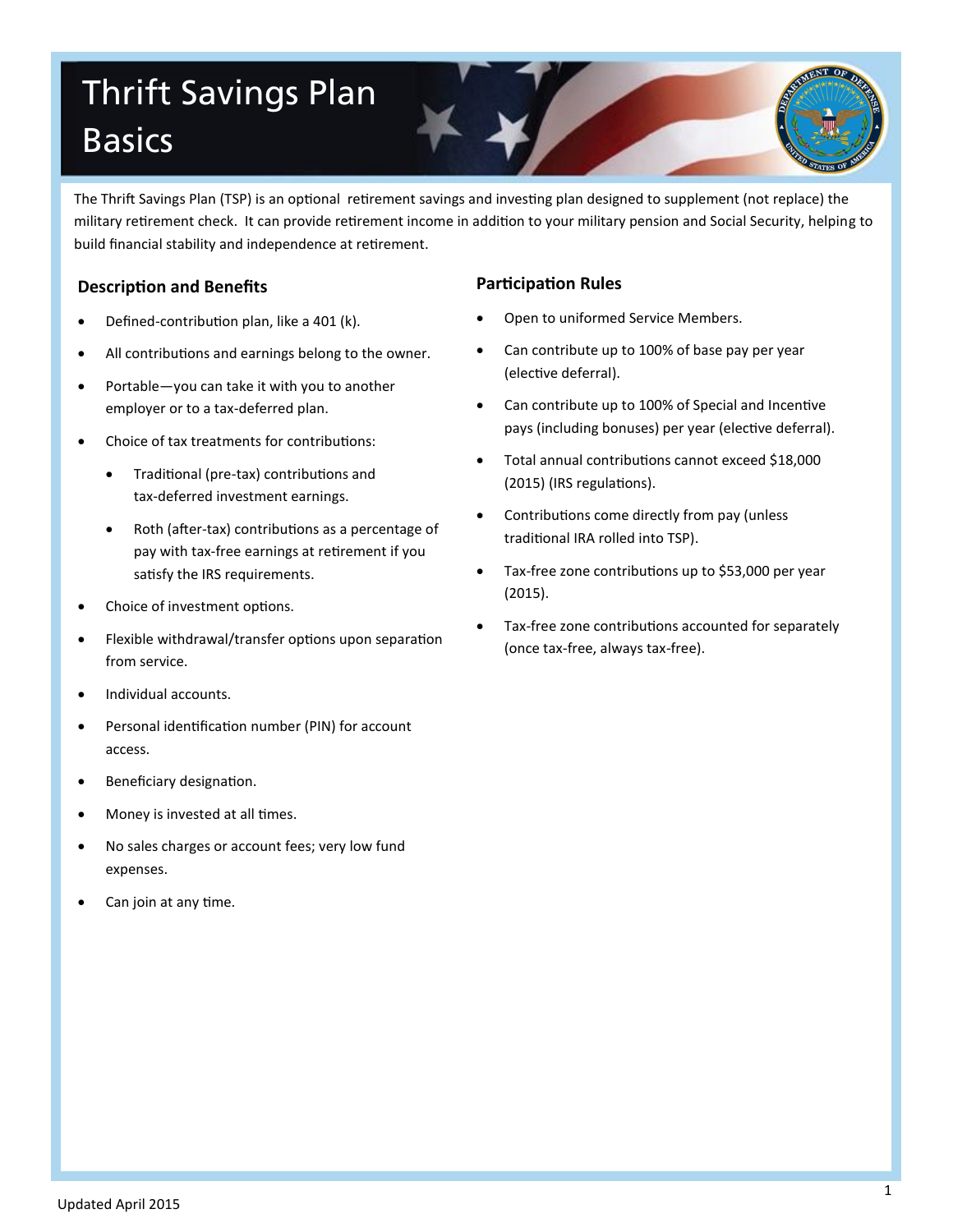# Thrift Savings Plan **Basics**

The Thrift Savings Plan (TSP) is an optional retirement savings and investing plan designed to supplement (not replace) the military retirement check. It can provide retirement income in addition to your military pension and Social Security, helping to build financial stability and independence at retirement.

## **Description and Benefits**

- Defined-contribution plan, like a 401 (k).
- All contributions and earnings belong to the owner.
- Portable—you can take it with you to another employer or to a tax-deferred plan.
- Choice of tax treatments for contributions:
	- Traditional (pre-tax) contributions and tax-deferred investment earnings.
	- Roth (after-tax) contributions as a percentage of pay with tax-free earnings at retirement if you satisfy the IRS requirements.
- Choice of investment options.
- Flexible withdrawal/transfer options upon separation from service.
- Individual accounts.
- Personal identification number (PIN) for account access.
- Beneficiary designation.
- Money is invested at all times.
- No sales charges or account fees; very low fund expenses.
- Can join at any time.

## **Participation Rules**

- Open to uniformed Service Members.
- Can contribute up to 100% of base pay per year (elective deferral).
- Can contribute up to 100% of Special and Incentive pays (including bonuses) per year (elective deferral).
- Total annual contributions cannot exceed \$18,000 (2015) (IRS regulations).
- Contributions come directly from pay (unless traditional IRA rolled into TSP).
- Tax-free zone contributions up to \$53,000 per year (2015).
- Tax-free zone contributions accounted for separately (once tax-free, always tax-free).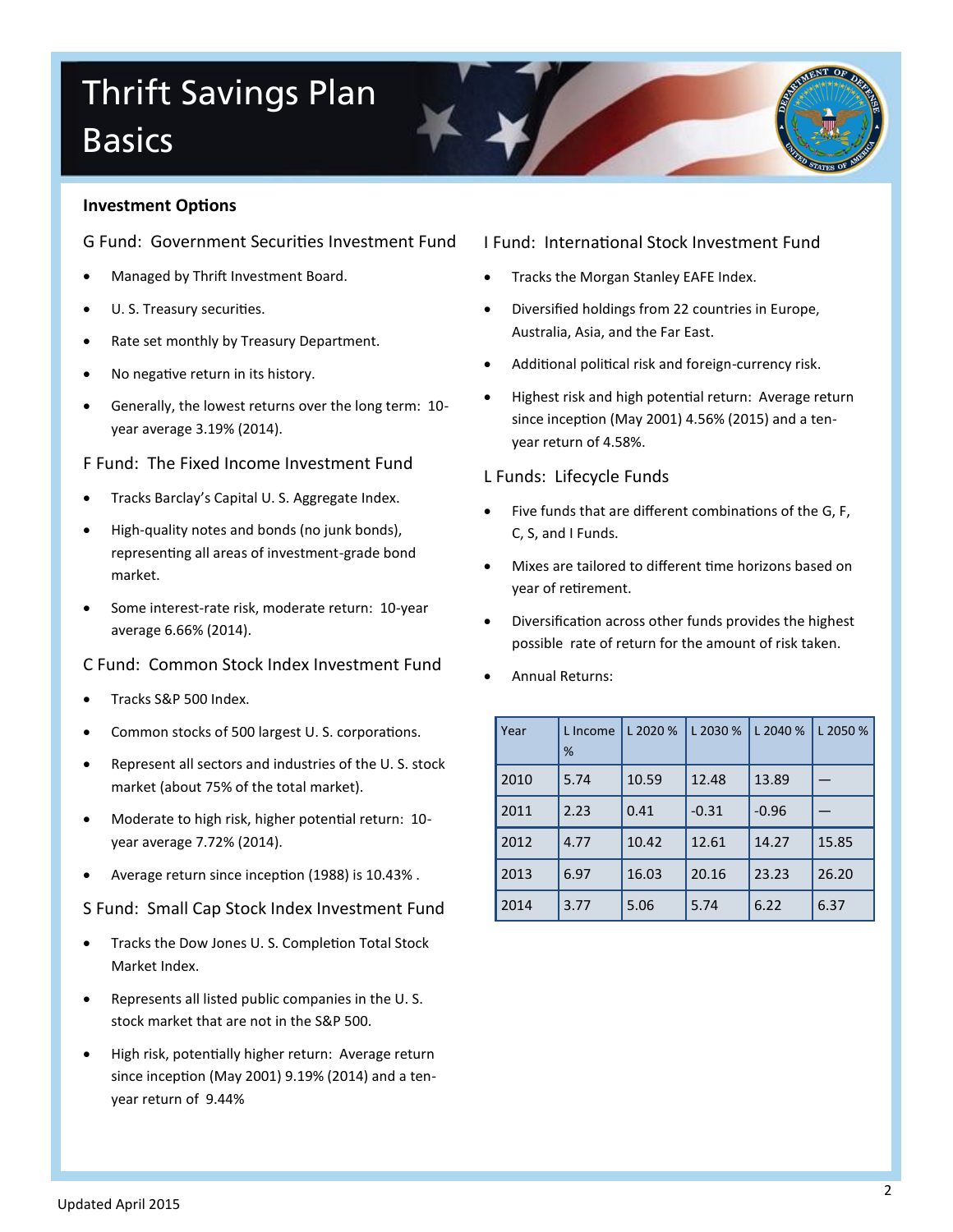# Thrift Savings Plan **Basics**

### **Investment Options**

G Fund: Government Securities Investment Fund

- Managed by Thrift Investment Board.
- U. S. Treasury securities.
- Rate set monthly by Treasury Department.
- No negative return in its history.
- Generally, the lowest returns over the long term: 10 year average 3.19% (2014).

F Fund: The Fixed Income Investment Fund

- Tracks Barclay's Capital U. S. Aggregate Index.
- High-quality notes and bonds (no junk bonds), representing all areas of investment-grade bond market.
- Some interest-rate risk, moderate return: 10-year average 6.66% (2014).

## C Fund: Common Stock Index Investment Fund

- Tracks S&P 500 Index.
- Common stocks of 500 largest U. S. corporations.
- Represent all sectors and industries of the U. S. stock market (about 75% of the total market).
- Moderate to high risk, higher potential return: 10 year average 7.72% (2014).
- Average return since inception (1988) is 10.43% .

### S Fund: Small Cap Stock Index Investment Fund

- Tracks the Dow Jones U. S. Completion Total Stock Market Index.
- Represents all listed public companies in the U. S. stock market that are not in the S&P 500.
- High risk, potentially higher return: Average return since inception (May 2001) 9.19% (2014) and a tenyear return of 9.44%

### I Fund: International Stock Investment Fund

- Tracks the Morgan Stanley EAFE Index.
- Diversified holdings from 22 countries in Europe, Australia, Asia, and the Far East.
- Additional political risk and foreign-currency risk.
- Highest risk and high potential return: Average return since inception (May 2001) 4.56% (2015) and a tenyear return of 4.58%.

### L Funds: Lifecycle Funds

- Five funds that are different combinations of the G, F, C, S, and I Funds.
- Mixes are tailored to different time horizons based on year of retirement.
- Diversification across other funds provides the highest possible rate of return for the amount of risk taken.
- Annual Returns:

| Year | L Income<br>% | L 2020 % | L 2030 % | L 2040 % | L 2050 % |
|------|---------------|----------|----------|----------|----------|
| 2010 | 5.74          | 10.59    | 12.48    | 13.89    |          |
| 2011 | 2.23          | 0.41     | $-0.31$  | $-0.96$  |          |
| 2012 | 4.77          | 10.42    | 12.61    | 14.27    | 15.85    |
| 2013 | 6.97          | 16.03    | 20.16    | 23.23    | 26.20    |
| 2014 | 3.77          | 5.06     | 5.74     | 6.22     | 6.37     |